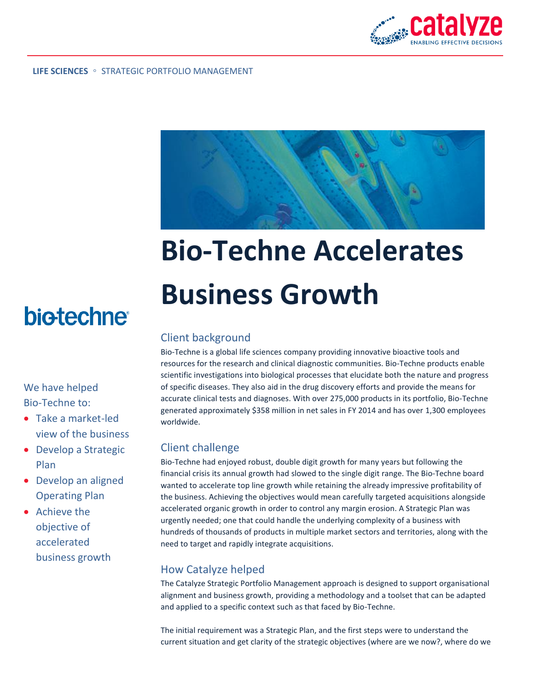



# **Bio-Techne Accelerates Business Growth**

#### Client background

Bio-Techne is a global life sciences company providing innovative bioactive tools and resources for the research and clinical diagnostic communities. Bio-Techne products enable scientific investigations into biological processes that elucidate both the nature and progress of specific diseases. They also aid in the drug discovery efforts and provide the means for accurate clinical tests and diagnoses. With over 275,000 products in its portfolio, Bio-Techne generated approximately \$358 million in net sales in FY 2014 and has over 1,300 employees worldwide.

#### Client challenge

Bio-Techne had enjoyed robust, double digit growth for many years but following the financial crisis its annual growth had slowed to the single digit range. The Bio-Techne board wanted to accelerate top line growth while retaining the already impressive profitability of the business. Achieving the objectives would mean carefully targeted acquisitions alongside accelerated organic growth in order to control any margin erosion. A Strategic Plan was urgently needed; one that could handle the underlying complexity of a business with hundreds of thousands of products in multiple market sectors and territories, along with the need to target and rapidly integrate acquisitions.

## How Catalyze helped

The Catalyze Strategic Portfolio Management approach is designed to support organisational alignment and business growth, providing a methodology and a toolset that can be adapted and applied to a specific context such as that faced by Bio-Techne.

The initial requirement was a Strategic Plan, and the first steps were to understand the current situation and get clarity of the strategic objectives (where are we now?, where do we

# **biotechne**

## We have helped Bio-Techne to:

- Take a market-led view of the business
- Develop a Strategic Plan
- Develop an aligned Operating Plan
- Achieve the objective of accelerated business growth